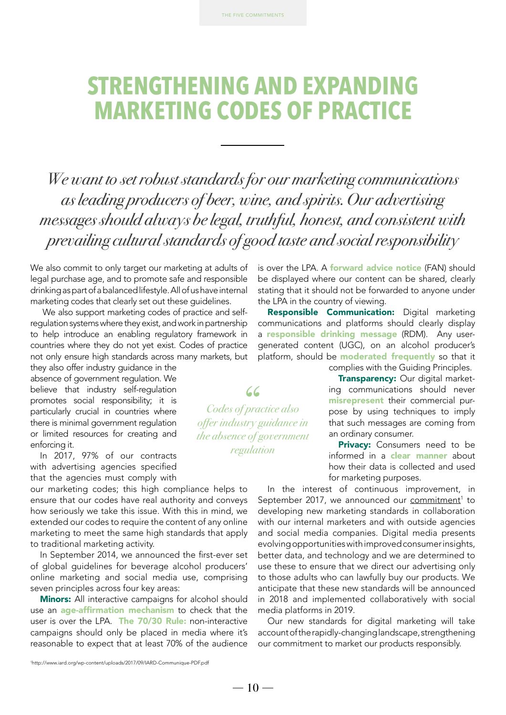# **STRENGTHENING AND EXPANDING MARKETING CODES OF PRACTICE**

*We want to set robust standards for our marketing communications as leading producers of beer, wine, and spirits. Our advertising messages should always be legal, truthful, honest, and consistent with prevailing cultural standards of good taste and social responsibility*

> *Codes of practice also offer industry guidance in the absence of government regulation*

66

We also commit to only target our marketing at adults of legal purchase age, and to promote safe and responsible drinking as part of a balanced lifestyle. All of us have internal marketing codes that clearly set out these guidelines.

 We also support marketing codes of practice and selfregulation systems where they exist, and work in partnership to help introduce an enabling regulatory framework in countries where they do not yet exist. Codes of practice not only ensure high standards across many markets, but

they also offer industry guidance in the absence of government regulation. We believe that industry self-regulation promotes social responsibility; it is particularly crucial in countries where there is minimal government regulation or limited resources for creating and enforcing it.

In 2017, 97% of our contracts with advertising agencies specified that the agencies must comply with

our marketing codes; this high compliance helps to ensure that our codes have real authority and conveys how seriously we take this issue. With this in mind, we extended our codes to require the content of any online marketing to meet the same high standards that apply to traditional marketing activity.

In September 2014, we announced the first-ever set of global guidelines for beverage alcohol producers' online marketing and social media use, comprising seven principles across four key areas:

**Minors:** All interactive campaigns for alcohol should use an **age-affirmation mechanism** to check that the user is over the LPA. The 70/30 Rule: non-interactive campaigns should only be placed in media where it's reasonable to expect that at least 70% of the audience

is over the LPA. A **forward advice notice** (FAN) should be displayed where our content can be shared, clearly stating that it should not be forwarded to anyone under the LPA in the country of viewing.

Responsible Communication: Digital marketing communications and platforms should clearly display a responsible drinking message (RDM). Any usergenerated content (UGC), on an alcohol producer's platform, should be **moderated frequently** so that it complies with the Guiding Principles.

> **Transparency: Our digital market**ing communications should never misrepresent their commercial purpose by using techniques to imply that such messages are coming from an ordinary consumer.

> **Privacy:** Consumers need to be informed in a **clear manner** about how their data is collected and used for marketing purposes.

In the interest of continuous improvement, in September 2017, we [announced our](http://www.iard.org/wp-content/uploads/2017/09/IARD-Communique-PDF.pdf) commitment<sup>1</sup> to developing new marketing standards in collaboration with our internal marketers and with outside agencies and social media companies. Digital media presents evolving opportunities with improved consumer insights, better data, and technology and we are determined to use these to ensure that we direct our advertising only to those adults who can lawfully buy our products. We anticipate that these new standards will be announced in 2018 and implemented collaboratively with social media platforms in 2019.

Our new standards for digital marketing will take account of the rapidly-changing landscape, strengthening our commitment to market our products responsibly.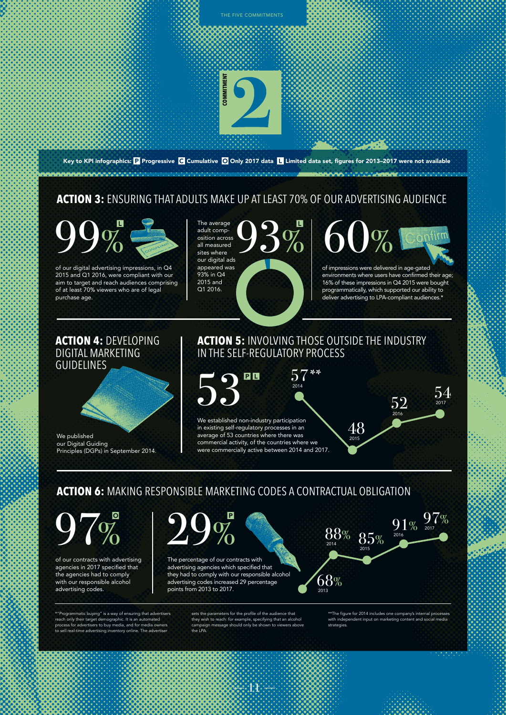

of our digital advertising impressions, in Q4 2015 and Q1 2016, were compliant with our aim to target and reach audiences comprising of at least 70% viewers who are of legal purchase age.

osition across all measured sites where our digital ads appeared was 93% in Q4 2015 and Q1 2016.



of impressions were delivered in age-gated environments where users have confirmed their age; 16% of these impressions in Q4 2015 were bought programmatically, which supported our ability to deliver advertising to LPA-compliant audiences.\*

> 52  $2016$

 $91%$ 

 $97%$ 

54 2017

48 2015

 $88\%$   $85\%$ 

 $68%$ 

# **ACTION 4:** DEVELOPING DIGITAL MARKETING GUIDELINES

We published our Digital Guiding Principles (DGPs) in September 2014.

# **ACTION 5:** INVOLVING THOSE OUTSIDE THE INDUSTRY IN THE SELF-REGULATORY PROCESS

57\*\* 53  $P<sub>L</sub>$ 2014 We established non-industry participation in existing self-regulatory processes in an

average of 53 countries where there was commercial activity, of the countries where we were commercially active between 2014 and 2017.

**ACTION 6:** MAKING RESPONSIBLE MARKETING CODES A CONTRACTUAL OBLIGATION

97% 29%

of our contracts with advertising agencies in 2017 specified that the agencies had to comply with our responsible alcohol advertising codes.

\*"Programmatic buying" is a way of ensuring that advertisers reach only their target demographic. It is an automated process for advertisers to buy media, and for media owners to sell real-time advertising inventory online. The advertiser

The percentage of our contracts with advertising agencies which specified that they had to comply with our responsible alcohol advertising codes increased 29 percentage points from 2013 to 2017.

> sets the parameters for the profile of the audience that they wish to reach: for example, specifying that an alcohol campaign message should only be shown to viewers above the LPA.

> > 11

\*\*The figure for 2014 includes one company's internal processes with independent comparent increased in the social media media media and social media media and social media m<br>and social media media media media media media media media media media media media media media media media med strategies.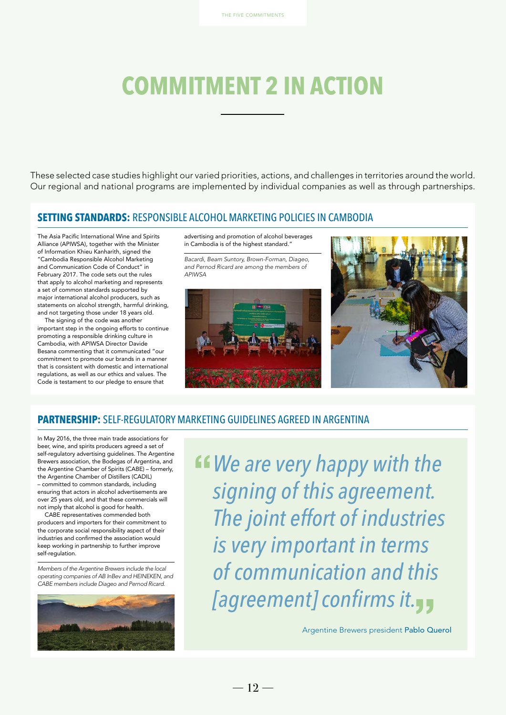# **COMMITMENT 2 IN ACTION**

These selected case studies highlight our varied priorities, actions, and challenges in territories around the world. Our regional and national programs are implemented by individual companies as well as through partnerships.

#### **SETTING STANDARDS:** RESPONSIBLE ALCOHOL MARKETING POLICIES IN CAMBODIA

The Asia Pacific International Wine and Spirits Alliance (APIWSA), together with the Minister of Information Khieu Kanharith, signed the "Cambodia Responsible Alcohol Marketing and Communication Code of Conduct" in February 2017. The code sets out the rules that apply to alcohol marketing and represents a set of common standards supported by major international alcohol producers, such as statements on alcohol strength, harmful drinking, and not targeting those under 18 years old.

The signing of the code was another important step in the ongoing efforts to continue promoting a responsible drinking culture in Cambodia, with APIWSA Director Davide Besana commenting that it communicated "our commitment to promote our brands in a manner that is consistent with domestic and international regulations, as well as our ethics and values. The Code is testament to our pledge to ensure that

advertising and promotion of alcohol beverages in Cambodia is of the highest standard."

*Bacardi, Beam Suntory, Brown-Forman, Diageo, and Pernod Ricard are among the members of APIWSA*





#### **PARTNERSHIP:** SELF-REGULATORY MARKETING GUIDELINES AGREED IN ARGENTINA

In May 2016, the three main trade associations for beer, wine, and spirits producers agreed a set of self-regulatory advertising guidelines. The Argentine Brewers association, the Bodegas of Argentina, and the Argentine Chamber of Spirits (CABE) – formerly, the Argentine Chamber of Distillers (CADIL) – committed to common standards, including ensuring that actors in alcohol advertisements are over 25 years old, and that these commercials will not imply that alcohol is good for health.

CABE representatives commended both producers and importers for their commitment to the corporate social responsibility aspect of their industries and confirmed the association would keep working in partnership to further improve self-regulation.

*Members of the Argentine Brewers include the local operating companies of AB InBev and HEINEKEN, and CABE members include Diageo and Pernod Ricard.*



*We are very happy with the signing of this agreement. The joint effort of industries is very important in terms of communication and this [agreement] confirms it.*

Argentine Brewers president Pablo Querol

 $-12-$